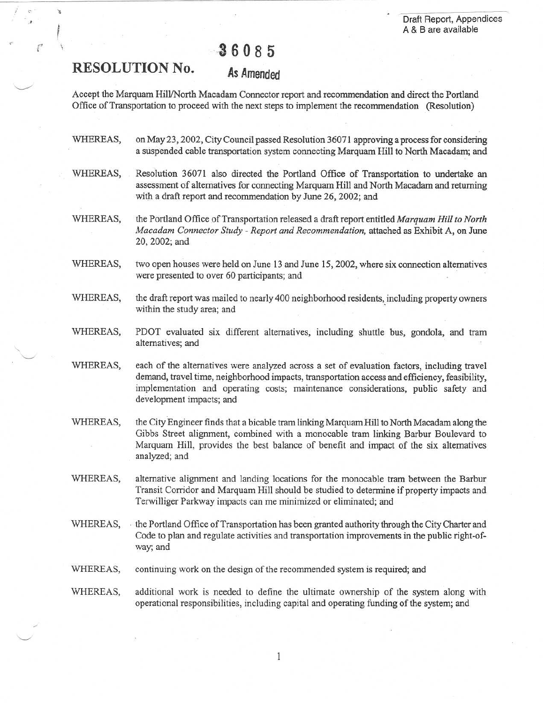# 36085

# RESOLUTION No.

## As Amended

Accept the Marquam Hill/North Macadam Connector report and recommendation and direct the Portland Office of Transportation to proceed with the next steps to implement the recommendation (Resolution)

- WHEREAS, on May 23, 2002, City Council passed Resolution 36071 approving a process for considering a suspended cable transportation system connecting Marquam Hill to North Macadam; and
- WHEREAS, Resolution 36071 also directed the Portland Office of Transportation to undertake an assessment of alternatives for connecting Marquam Hill and North Macadam and returning with a draft report and recommendation by June 26, 2002; and
- WHEREAS, the Portland Office of Transportation released a draft report entitled Marquam Hill to North Macadam Connector Study - Report and Recommendation, attached as Exhibit A, on June 20, 2002; and
- WHEREAS, two open houses were held on June 13 and June 15, 2002, where six connection alternatives were presented to over 60 participants; and
- WHEREAS, the draft report was mailed to nearly 400 neighborhood residents, including property owners within the study area; and
- WHEREAS, PDOT evaluated six different alternatives, including shuttle bus, gondola, and tram alternatives; and
- WHEREAS, each of the alternatives were analyzed across a set of evaluation factors, including travel demand, travel time, neighborhood impacts, transportation access and efficiency, feasibility, implementation and operating costs; maintenance considerations, public safety and development impacts; and
- WHEREAS, the City Engineer finds that a bicable tram linking Marquam Hill to North Macadam along the Gibbs Street alignment, combined with a monocable tram linking Barbur Boulevard to Marquam Hill, provides the best balance of benefit and impact of the six alternatives analyzed; and
- WHEREAS, alternative alignment and landing locations for the monocable tram between the Barbur Transit Corridor and Marquam Hill should be studied to determine if property impacts and Terwilliger Parkway impacts can me minimized or eliminated; and
- WHEREAS, the Portland Office of Transportation has been granted authority through the City Charter and Code to plan and regulate activities and transportation improvements in the public right-ofway; and
- WHEREAS, continuing work on the design of the recommended system is required; and
- WHEREAS, additional work is needed to define the ultimate ownership of the system along with operational responsibilities, including capital and operating funding of the system ; and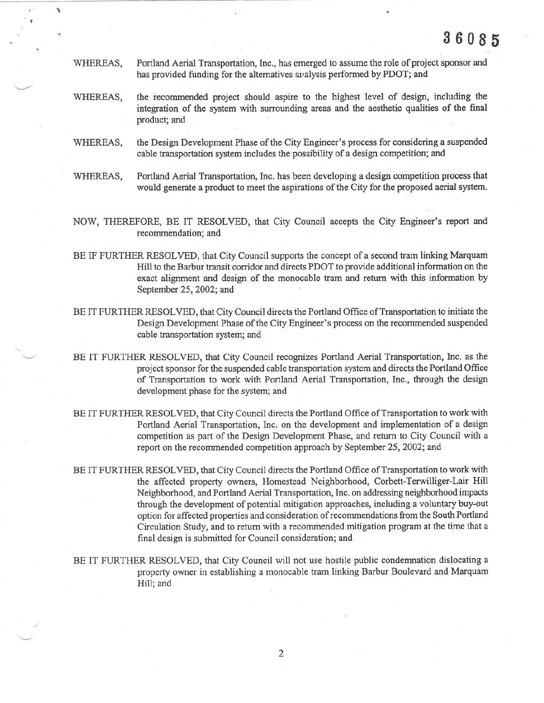WHEREAS, Portland Aerial Transportation, Inc., has emerged to assume the role of project sponsor and has provided funding for the alternatives analysis performed by PDOT; and

r

- WHEREAS, the recommended project should aspire to the highest level of design, including the integration of the system with surrounding areas and the aesthetic qualities of the final product; and
- WHEREAS, the Design Development Phase of the City Engineer's process for considering a suspended cable transportation system includes the possibility of a design competition; and
- WHEREAS, Portland Aerial Transportation, Inc . has beer. developing a design competition process that would generate a product to meet the aspirations of the City for the proposed aerial system .
- NOW, THEREFORE, BE IT RESOLVED, that City Council accepts the City Engineer's report and recommendation; and
- BE IF FURTHER RESOLVED, that City Council supports the concept of a second tram linking Marquam Hill to the Barbur transit corridor and directs PDOT to provide additional information on the exact alignment and design of the monocable tram and return with this information by September 25, 2002; and
- BE IT FURTHER RESOLVED, that City Council directs the Portland Office of Transportation to initiate the Design Development Phase of the City Engineer's process on the recommended suspended cable transportation system; and
- BE IT FURTHER RESOLVED, that City Council recognizes Portland Aerial Transportation, Inc . as the project sponsor for the suspended cable transportation system and directs the Portland Office of Transportation to work with Portland Aerial Transportation, Inc ., through the design development phase for the system; and
- BE IT FURTHER RESOLVED, that City Council directs the Portland Office of Transportation to work with Portland Aerial Transportation, Inc. on the development and implementation of a design competition as part of the Design Development Phase, and return to City Council with a report on the recommended competition approach by September 25, 2002; and
- BE IT FURTHER RESOLVED, that City Council directs the Portland Office of Transportation to work with the affected property owners, Homestead Neighborhood, Corbett-Terwilliger-Lair Hill Neighborhood, and Portland Aerial Transportation, Inc . on addressing neighborhood impacts through the development of potential mitigation approaches, including a voluntary buy-out option for affected properties and consideration of recommendations from the South Portland Circulation Study, and to return with a recommended mitigation program at the time that a final design is submitted for Council consideration; and
- BE IT FURTHER RESOLVED, that City Council will not use hostile public condemnation dislocating a property owner in establishing a monocable tram linking Barbur Boulevard and Marquam Hill; and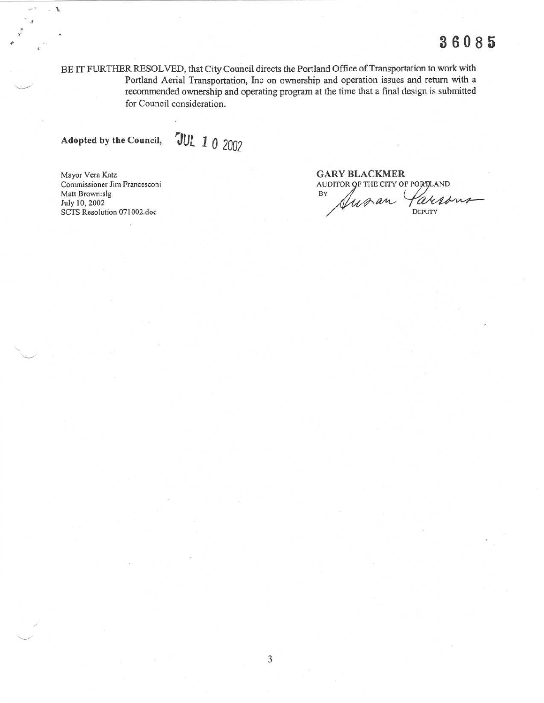BE IT FURTHER RESOLVED, that City Council directs the Portland Office of Transportation to work with Portland Aerial Transportation, Inc on ownership and operation issues and return with a recommended ownership and operating program at the time that a final design is submitted for Council consideration.

Adopted by the Council,

r

 

JUL I Q 2002

Mayor Vera Katz<br>Commissioner Jim Francesconi Matt Brown:slg<br>July 10, 2002

GARY BLACKMER AUDITOR OF THE CITY OF PORTLAND Iuran  $100$ SCTS Resolution 071002.doc DEPUTY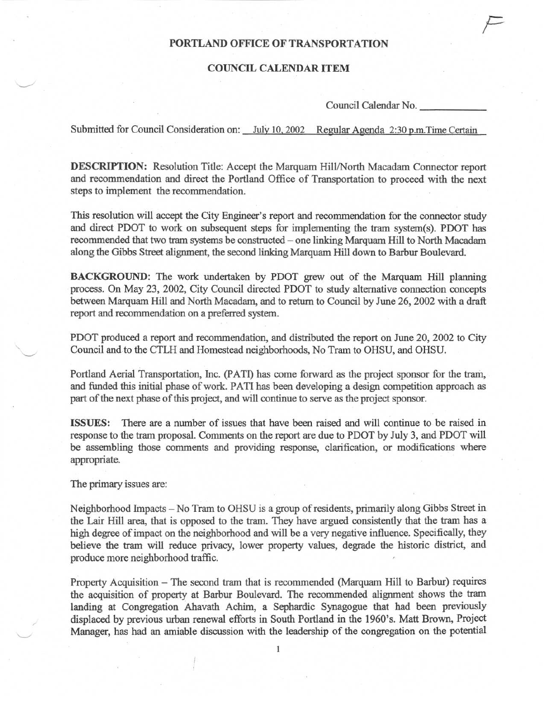### PORTLAND OFFICE OF TRANSPORTATION

### COUNCIL CALENDAR ITEM

Council Calendar No.

F

Submitted for Council Consideration on: July 10, 2002 Regular Agenda 2:30 p.m. Time Certain

**DESCRIPTION:** Resolution Title: Accept the Marquam Hill/North Macadam Connector report and recommendation and direct the Portland Office of Transportation to proceed with the next steps to implement the recommendation.

This resolution will accept the City Engineer's report and recommendation for the connector study and direct PDOT to work on subsequent steps for implementing the tram system(s). PDOT has recommended that two tram systems be constructed - one linking Marquam Hill to North Macadam along the Gibbs Street alignment, the second linking Marquam Hill down to Barbur Boulevard.

BACKGROUND: The work undertaken by PDOT grew out of the Marquam Hill planning process. On May 23, 2002, City Council directed PDOT to study alternative connection concepts between Marquam Hill and North Macadam, and to return to Council by June 26, 2002 with a draft report and recommendation on a preferred system .

PDOT produced a report and recommendation, and distributed the report on June 20, 2002 to City Council and to the CTLH and Homestead neighborhoods, No Tram to OHSU, and OHSU .

Portland Aerial Transportation, Inc. (PATI) has come forward as the project sponsor for the tram, and funded this initial phase of work . PATI has been developing a design competition approach as part of the next phase of this project, and will continue to serve as the project sponsor .

ISSUES: There are a number of issues that have been raised and will continue to be raised in response to the tram proposal . Comments on the report are due to PDOT by July 3, and PDOT will be assembling those comments and providing response, clarification, or modifications where appropriate.

The primary issues are:

Neighborhood Impacts - No Tram to OHSU is a group of residents, primarily along Gibbs Street in the Lair Hill area, that is opposed to the tram . They have argued consistently that the tram has a high degree of impact on the neighborhood and will be a very negative influence. Specifically, they believe the tram will reduce privacy, lower property values, degrade the historic district, and produce more neighborhood traffic.

Property Acquisition - The second tram that is recommended (Marquam Hill to Barbur) requires the acquisition of property at Barbur Boulevard. The recommended alignment shows the tram landing at Congregation Ahavath Achim, a Sephardic Synagogue that had been previously displaced by previous urban renewal efforts in South Portland in the 1960's . Matt Brown, Project Manager, has had an amiable discussion with the leadership of the congregation on the potential

1